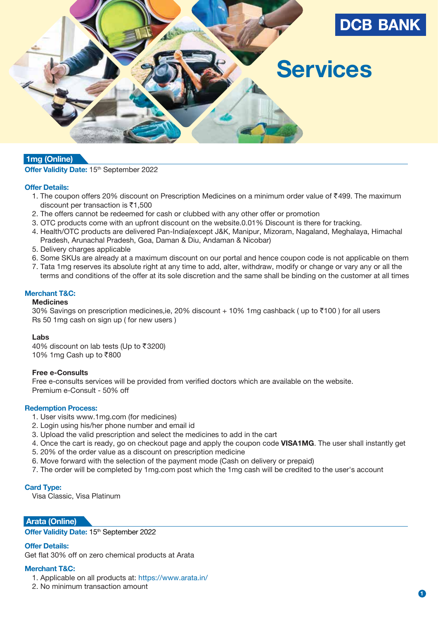

# **1mg (Online)**

#### **Offer Validity Date: 15th September 2022**

## **Offer Details:**

- 1. The coupon offers 20% discount on Prescription Medicines on a minimum order value of ₹499. The maximum discount per transaction is  $\bar{c}$ 1,500
- 2. The offers cannot be redeemed for cash or clubbed with any other offer or promotion
- 3. OTC products come with an upfront discount on the website.0.01% Discount is there for tracking.
- 4. Health/OTC products are delivered Pan-India(except J&K, Manipur, Mizoram, Nagaland, Meghalaya, Himachal Pradesh, Arunachal Pradesh, Goa, Daman & Diu, Andaman & Nicobar)
- 5. Delivery charges applicable
- 6. Some SKUs are already at a maximum discount on our portal and hence coupon code is not applicable on them
- 7. Tata 1mg reserves its absolute right at any time to add, alter, withdraw, modify or change or vary any or all the terms and conditions of the offer at its sole discretion and the same shall be binding on the customer at all times

# **Merchant T&C:**

# **Medicines**

30% Savings on prescription medicines,ie, 20% discount  $+10%$  1mg cashback (up to  $\overline{100}$ ) for all users Rs 50 1mg cash on sign up ( for new users )

#### **Labs**

40% discount on lab tests (Up to  $\overline{5}3200$ ) 10% 1mg Cash up to ₹800

#### **Free e-Consults**

 Free e-consults services will be provided from verified doctors which are available on the website. Premium e-Consult - 50% off

#### **Redemption Process:**

- 1. User visits www.1mg.com (for medicines)
- 2. Login using his/her phone number and email id
- 3. Upload the valid prescription and select the medicines to add in the cart
- 4. Once the cart is ready, go on checkout page and apply the coupon code **VISA1MG**. The user shall instantly get
- 5. 20% of the order value as a discount on prescription medicine
- 6. Move forward with the selection of the payment mode (Cash on delivery or prepaid)
- 7. The order will be completed by 1mg.com post which the 1mg cash will be credited to the user's account

#### **Card Type:**

Visa Classic, Visa Platinum

## **Arata (Online)**

**Offer Validity Date: 15th September 2022** 

#### **Offer Details:**

Get flat 30% off on zero chemical products at Arata

## **Merchant T&C:**

- 1. Applicable on all products at: https://www.arata.in/
- 2. No minimum transaction amount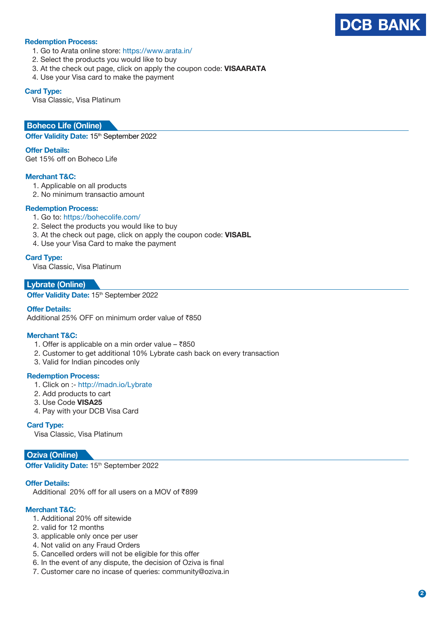

# **Redemption Process:**

- 1. Go to Arata online store: https://www.arata.in/
- 2. Select the products you would like to buy
- 3. At the check out page, click on apply the coupon code: **VISAARATA**
- 4. Use your Visa card to make the payment

#### **Card Type:**

Visa Classic, Visa Platinum

## **Boheco Life (Online)**

**Offer Validity Date: 15th September 2022** 

#### **Offer Details:**

Get 15% off on Boheco Life

## **Merchant T&C:**

- 1. Applicable on all products
- 2. No minimum transactio amount

#### **Redemption Process:**

- 1. Go to: https://bohecolife.com/
- 2. Select the products you would like to buy
- 3. At the check out page, click on apply the coupon code: **VISABL**
- 4. Use your Visa Card to make the payment

#### **Card Type:**

Visa Classic, Visa Platinum

# **Lybrate (Online)**

**Offer Validity Date: 15th September 2022** 

#### **Offer Details:**

Additional 25% OFF on minimum order value of  $\bar{z}850$ 

#### **Merchant T&C:**

- 1. Offer is applicable on a min order value  $-$  ₹850
- 2. Customer to get additional 10% Lybrate cash back on every transaction
- 3. Valid for Indian pincodes only

#### **Redemption Process:**

- 1. Click on :- http://madn.io/Lybrate
- 2. Add products to cart
- 3. Use Code **VISA25**
- 4. Pay with your DCB Visa Card

#### **Card Type:**

Visa Classic, Visa Platinum

## **Oziva (Online)**

**Offer Validity Date: 15<sup>th</sup> September 2022** 

## **Offer Details:**

Additional 20% off for all users on a MOV of  $\overline{5}899$ 

## **Merchant T&C:**

- 1. Additional 20% off sitewide
- 2. valid for 12 months
- 3. applicable only once per user
- 4. Not valid on any Fraud Orders
- 5. Cancelled orders will not be eligible for this offer
- 6. In the event of any dispute, the decision of Oziva is final
- 7. Customer care no incase of queries: community@oziva.in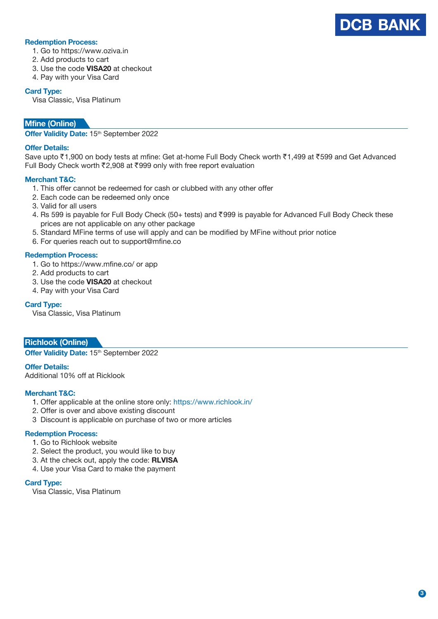

## **Redemption Process:**

- 1. Go to https://www.oziva.in
- 2. Add products to cart
- 3. Use the code **VISA20** at checkout
- 4. Pay with your Visa Card

## **Card Type:**

Visa Classic, Visa Platinum

# **Mfine (Online)**

**Offer Validity Date:** 15th September 2022

## **Offer Details:**

Save upto ₹1,900 on body tests at mfine: Get at-home Full Body Check worth ₹1,499 at ₹599 and Get Advanced Full Body Check worth ₹2,908 at ₹999 only with free report evaluation

## **Merchant T&C:**

- 1. This offer cannot be redeemed for cash or clubbed with any other offer
- 2. Each code can be redeemed only once
- 3. Valid for all users
- 4. Rs 599 is payable for Full Body Check (50+ tests) and ₹999 is payable for Advanced Full Body Check these prices are not applicable on any other package
- 5. Standard MFine terms of use will apply and can be modified by MFine without prior notice
- 6. For queries reach out to support@mfine.co

## **Redemption Process:**

- 1. Go to https://www.mfine.co/ or app
- 2. Add products to cart
- 3. Use the code **VISA20** at checkout
- 4. Pay with your Visa Card

## **Card Type:**

Visa Classic, Visa Platinum

**Richlook (Online)**

**Offer Validity Date: 15th September 2022** 

## **Offer Details:**

Additional 10% off at Ricklook

## **Merchant T&C:**

- 1. Offer applicable at the online store only: https://www.richlook.in/
- 2. Offer is over and above existing discount
- 3 Discount is applicable on purchase of two or more articles

## **Redemption Process:**

- 1. Go to Richlook website
- 2. Select the product, you would like to buy
- 3. At the check out, apply the code: **RLVISA**
- 4. Use your Visa Card to make the payment

## **Card Type:**

Visa Classic, Visa Platinum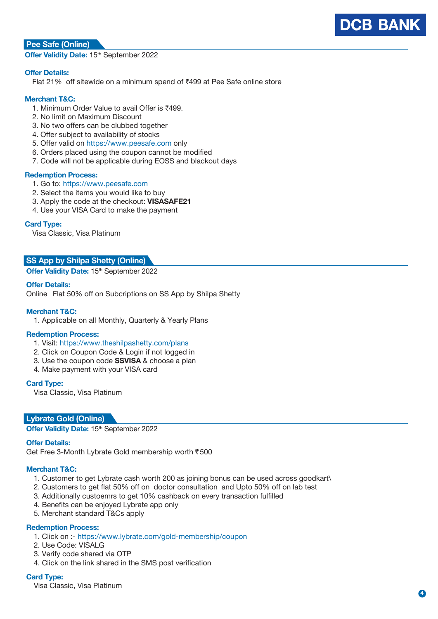

# **Pee Safe (Online)**

**Offer Validity Date: 15th September 2022** 

## **Offer Details:**

Flat 21% off sitewide on a minimum spend of ₹499 at Pee Safe online store

## **Merchant T&C:**

- 1. Minimum Order Value to avail Offer is ₹499.
- 2. No limit on Maximum Discount
- 3. No two offers can be clubbed together
- 4. Offer subject to availability of stocks
- 5. Offer valid on https://www.peesafe.com only
- 6. Orders placed using the coupon cannot be modified
- 7. Code will not be applicable during EOSS and blackout days

#### **Redemption Process:**

- 1. Go to: https://www.peesafe.com
- 2. Select the items you would like to buy
- 3. Apply the code at the checkout: **VISASAFE21**
- 4. Use your VISA Card to make the payment

## **Card Type:**

Visa Classic, Visa Platinum

# **SS App by Shilpa Shetty (Online)**

**Offer Validity Date: 15th September 2022** 

## **Offer Details:**

Online Flat 50% off on Subcriptions on SS App by Shilpa Shetty

## **Merchant T&C:**

1. Applicable on all Monthly, Quarterly & Yearly Plans

## **Redemption Process:**

- 1. Visit: https://www.theshilpashetty.com/plans
- 2. Click on Coupon Code & Login if not logged in
- 3. Use the coupon code **SSVISA** & choose a plan
- 4. Make payment with your VISA card

#### **Card Type:**

Visa Classic, Visa Platinum

## **Lybrate Gold (Online)**

**Offer Validity Date: 15th September 2022** 

## **Offer Details:**

Get Free 3-Month Lybrate Gold membership worth `500

## **Merchant T&C:**

- 1. Customer to get Lybrate cash worth 200 as joining bonus can be used across goodkart\
- 2. Customers to get flat 50% off on doctor consultation and Upto 50% off on lab test
- 3. Additionally custoemrs to get 10% cashback on every transaction fulfilled
- 4. Benefits can be enjoyed Lybrate app only
- 5. Merchant standard T&Cs apply

## **Redemption Process:**

- 1. Click on :- https://www.lybrate.com/gold-membership/coupon
- 2. Use Code: VISALG
- 3. Verify code shared via OTP
- 4. Click on the link shared in the SMS post verification

## **Card Type:**

Visa Classic, Visa Platinum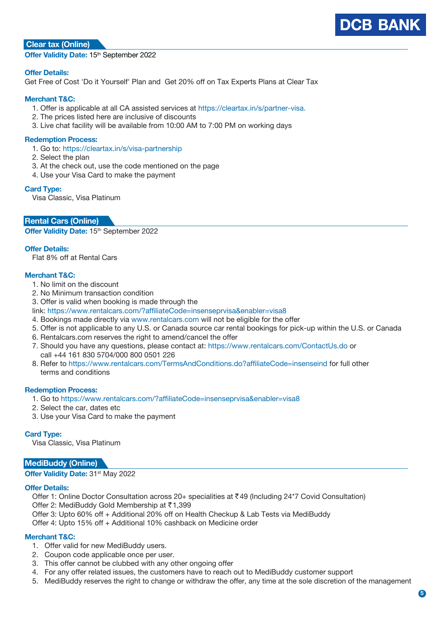

# **Clear tax (Online)**

**Offer Validity Date: 15th September 2022** 

## **Offer Details:**

Get Free of Cost 'Do it Yourself' Plan and Get 20% off on Tax Experts Plans at Clear Tax

## **Merchant T&C:**

- 1. Offer is applicable at all CA assisted services at https://cleartax.in/s/partner-visa.
- 2. The prices listed here are inclusive of discounts
- 3. Live chat facility will be available from 10:00 AM to 7:00 PM on working days

#### **Redemption Process:**

- 1. Go to: https://cleartax.in/s/visa-partnership
- 2. Select the plan
- 3. At the check out, use the code mentioned on the page
- 4. Use your Visa Card to make the payment

#### **Card Type:**

Visa Classic, Visa Platinum

# **Rental Cars (Online)**

**Offer Validity Date: 15th September 2022** 

## **Offer Details:**

Flat 8% off at Rental Cars

## **Merchant T&C:**

- 1. No limit on the discount
- 2. No Minimum transaction condition
- 3. Offer is valid when booking is made through the
- link: https://www.rentalcars.com/?affiliateCode=insenseprvisa&enabler=visa8
- 4. Bookings made directly via www.rentalcars.com will not be eligible for the offer
- 5. Offer is not applicable to any U.S. or Canada source car rental bookings for pick-up within the U.S. or Canada
- 6. Rentalcars.com reserves the right to amend/cancel the offer
- 7. Should you have any questions, please contact at: https://www.rentalcars.com/ContactUs.do or call +44 161 830 5704/000 800 0501 226
- 8. Refer to https://www.rentalcars.com/TermsAndConditions.do?affiliateCode=insenseind for full other terms and conditions

#### **Redemption Process:**

- 1. Go to https://www.rentalcars.com/?affiliateCode=insenseprvisa&enabler=visa8
- 2. Select the car, dates etc
- 3. Use your Visa Card to make the payment

## **Card Type:**

Visa Classic, Visa Platinum

## **MediBuddy (Online)**

**Offer Validity Date: 31st May 2022** 

#### **Offer Details:**

Offer 1: Online Doctor Consultation across 20+ specialities at `49 (Including 24\*7 Covid Consultation)

Offer 2: MediBuddy Gold Membership at ₹1,399

- Offer 3: Upto 60% off + Additional 20% off on Health Checkup & Lab Tests via MediBuddy
- Offer 4: Upto 15% off + Additional 10% cashback on Medicine order

## **Merchant T&C:**

- 1. Offer valid for new MediBuddy users.
- 2. Coupon code applicable once per user.
- 3. This offer cannot be clubbed with any other ongoing offer
- 4. For any offer related issues, the customers have to reach out to MediBuddy customer support
- 5. MediBuddy reserves the right to change or withdraw the offer, any time at the sole discretion of the management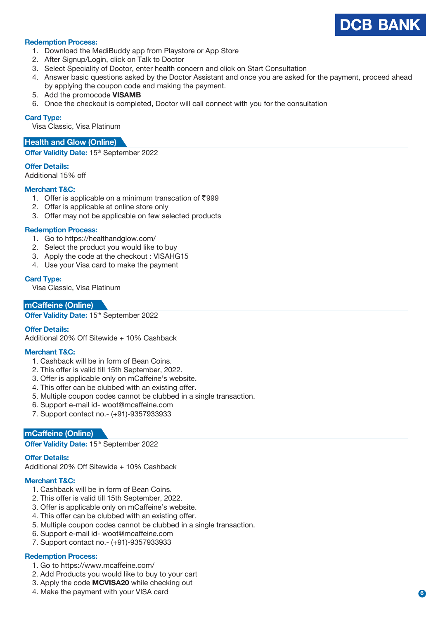

## **Redemption Process:**

- 1. Download the MediBuddy app from Playstore or App Store
- 2. After Signup/Login, click on Talk to Doctor
- 3. Select Speciality of Doctor, enter health concern and click on Start Consultation
- 4. Answer basic questions asked by the Doctor Assistant and once you are asked for the payment, proceed ahead by applying the coupon code and making the payment.
- 5. Add the promocode **VISAMB**
- 6. Once the checkout is completed, Doctor will call connect with you for the consultation

#### **Card Type:**

Visa Classic, Visa Platinum

## **Health and Glow (Online)**

**Offer Validity Date: 15th September 2022** 

#### **Offer Details:**

Additional 15% off

# **Merchant T&C:**

- 1. Offer is applicable on a minimum transcation of  $\overline{5}999$
- 2. Offer is applicable at online store only
- 3. Offer may not be applicable on few selected products

#### **Redemption Process:**

- 1. Go to https://healthandglow.com/
- 2. Select the product you would like to buy
- 3. Apply the code at the checkout : VISAHG15
- 4. Use your Visa card to make the payment

#### **Card Type:**

Visa Classic, Visa Platinum

## **mCaffeine (Online)**

Offer Validity Date: 15<sup>th</sup> September 2022

## **Offer Details:**

Additional 20% Off Sitewide + 10% Cashback

## **Merchant T&C:**

- 1. Cashback will be in form of Bean Coins.
- 2. This offer is valid till 15th September, 2022.
- 3. Offer is applicable only on mCaffeine's website.
- 4. This offer can be clubbed with an existing offer.
- 5. Multiple coupon codes cannot be clubbed in a single transaction.
- 6. Support e-mail id- woot@mcaffeine.com
- 7. Support contact no.- (+91)-9357933933

## **mCaffeine (Online)**

**Offer Validity Date: 15th September 2022** 

#### **Offer Details:**

Additional 20% Off Sitewide + 10% Cashback

#### **Merchant T&C:**

- 1. Cashback will be in form of Bean Coins.
- 2. This offer is valid till 15th September, 2022.
- 3. Offer is applicable only on mCaffeine's website.
- 4. This offer can be clubbed with an existing offer.
- 5. Multiple coupon codes cannot be clubbed in a single transaction.
- 6. Support e-mail id- woot@mcaffeine.com
- 7. Support contact no.- (+91)-9357933933

## **Redemption Process:**

- 1. Go to https://www.mcaffeine.com/
- 2. Add Products you would like to buy to your cart
- 3. Apply the code **MCVISA20** while checking out
- 4. Make the payment with your VISA card **6**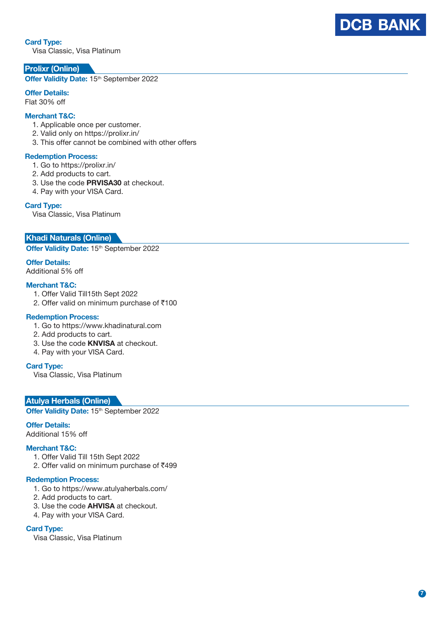# **Card Type:**

Visa Classic, Visa Platinum

# **Prolixr (Online)**

**O ffer Validi ty Date :** 15th September 2022

# **Offer Details:**

Flat 30% off

# **Merchant T& C :**

- 1. Applicable once per customer.
- 2. Valid only on https://prolixr.in/
- 3. This offer cannot be combined with other offers

## **Redemption Process:**

- 1. Go to https://prolixr.in/
- 2. Add products to cart.
- 3. Use the code **PRVISA30** at checkout.
- 4. Pay with your VISA Card.

## **Card Type:**

Visa Classic, Visa Platinum

## **Khadi Naturals ( O nline )**

**O ffer Validi ty Date :** 15th September 2022

## **Offer Details:**

Additional 5% off

## **Merchant T&C:**

- 1. Offer Valid Till15th Sept 2022
- 2. Offer valid on minimum purchase of ₹100

## **Redemption Process:**

- 1. Go to https://www.khadinatural.com
- 2. Add products to cart.
- 3. Use the code **KNVISA** at checkout.
- 4. Pay with your VISA Card.

# **Card Type:**

Visa Classic, Visa Platinum

# **Atulya Herbals ( O nline )**

**O ffer Validi ty Date :** 15th September 2022

## **Offer Details:**

Additional 15% off

# **Merchant T&C:**

- 1. Offer Valid Till 15th Sept 2022
- 2. Offer valid on minimum purchase of ₹499

#### **Redemption Process:**

- 1. Go to https://www.atulyaherbals.com/
- 2. Add products to cart.
- 3. Use the code **AHVISA** at checkout.
- 4. Pay with your VISA Card.

## **Card Type:**

Visa Classic, Visa Platinum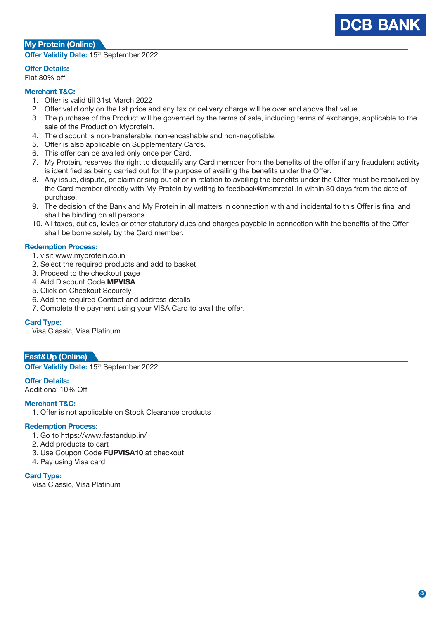# **My Protein (Online)**

**Offer Validity Date: 15th September 2022** 

## **Offer Details:**

Flat 30% off

# **Merchant T&C:**

- 1. Offer is valid till 31st March 2022
- 2. Offer valid only on the list price and any tax or delivery charge will be over and above that value.
- 3. The purchase of the Product will be governed by the terms of sale, including terms of exchange, applicable to the sale of the Product on Myprotein.
- 4. The discount is non-transferable, non-encashable and non-negotiable.
- 5. Offer is also applicable on Supplementary Cards.
- 6. This offer can be availed only once per Card.
- 7. My Protein, reserves the right to disqualify any Card member from the benefits of the offer if any fraudulent activity is identified as being carried out for the purpose of availing the benefits under the Offer.
- 8. Any issue, dispute, or claim arising out of or in relation to availing the benefits under the Offer must be resolved by the Card member directly with My Protein by writing to feedback@msmretail.in within 30 days from the date of purchase.
- 9. The decision of the Bank and My Protein in all matters in connection with and incidental to this Offer is final and shall be binding on all persons.
- 10. All taxes, duties, levies or other statutory dues and charges payable in connection with the benefits of the Offer shall be borne solely by the Card member.

## **Redemption Process:**

- 1. visit www.myprotein.co.in
- 2. Select the required products and add to basket
- 3. Proceed to the checkout page
- 4. Add Discount Code **MPVISA**
- 5. Click on Checkout Securely
- 6. Add the required Contact and address details
- 7. Complete the payment using your VISA Card to avail the offer.

# **Card Type:**

Visa Classic, Visa Platinum

# **Fast&Up (Online)**

**Offer Validity Date: 15<sup>th</sup> September 2022** 

# **Offer Details:**

Additional 10% Off

# **Merchant T&C:**

1. Offer is not applicable on Stock Clearance products

## **Redemption Process:**

- 1. Go to https://www.fastandup.in/
- 2. Add products to cart
- 3. Use Coupon Code **FUPVISA10** at checkout
- 4. Pay using Visa card

## **Card Type:**

Visa Classic, Visa Platinum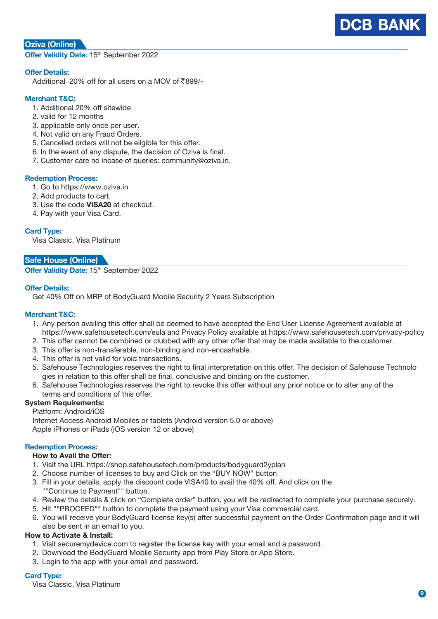

# **Oziva (Online)**

**Offer Validity Date: 15th September 2022** 

## **Offer Details:**

Additional 20% off for all users on a MOV of  $\overline{\xi}$ 899/-

# **Merchant T&C:**

- 1. Additional 20% off sitewide
- 2. valid for 12 months
- 3. applicable only once per user.
- 4. Not valid on any Fraud Orders.
- 5. Cancelled orders will not be eligible for this offer.
- 6. In the event of any dispute, the decision of Oziva is final.
- 7. Customer care no incase of queries: community@oziva.in.

#### **Redemption Process:**

- 1. Go to https://www.oziva.in
- 2. Add products to cart.
- 3. Use the code **VISA20** at checkout.
- 4. Pay with your Visa Card.

## **Card Type:**

Visa Classic, Visa Platinum

# **Safe House (Online)**

**Offer Validity Date:** 15th September 2022

## **Offer Details:**

Get 40% Off on MRP of BodyGuard Mobile Security 2 Years Subscription

## **Merchant T&C:**

- 1. Any person availing this offer shall be deemed to have accepted the End User License Agreement available at https://www.safehousetech.com/eula and Privacy Policy available at https://www.safehousetech.com/privacy-policy
- 2. This offer cannot be combined or clubbed with any other offer that may be made available to the customer.
- 3. This offer is non-transferable, non-binding and non-encashable.
- 4. This offer is not valid for void transactions.
- 5. Safehouse Technologies reserves the right to final interpretation on this offer. The decision of Safehouse Technolo gies in relation to this offer shall be final, conclusive and binding on the customer.
- 6. Safehouse Technologies reserves the right to revoke this offer without any prior notice or to alter any of the terms and conditions of this offer.

# **System Requirements:**

Platform: Android/iOS

 Internet Access Android Mobiles or tablets (Android version 5.0 or above) Apple iPhones or iPads (iOS version 12 or above)

## **Redemption Process:**

## **How to Avail the Offer:**

- 1. Visit the URL https://shop.safehousetech.com/products/bodyguard2yplan
- 2. Choose number of licenses to buy and Click on the "BUY NOW" button
- 3. Fill in your details, apply the discount code VISA40 to avail the 40% off. And click on the ""Continue to Payment"" button.
- 4. Review the details & click on "Complete order" button, you will be redirected to complete your purchase securely.
- 5. Hit ""PROCEED"" button to complete the payment using your Visa commercial card.
- 6. You will receive your BodyGuard license key(s) after successful payment on the Order Confirmation page and it will also be sent in an email to you.

## **How to Activate & Install:**

- 1. Visit securemydevice.com to register the license key with your email and a password.
- 2. Download the BodyGuard Mobile Security app from Play Store or App Store.
- 3. Login to the app with your email and password.

# **Card Type:**

Visa Classic, Visa Platinum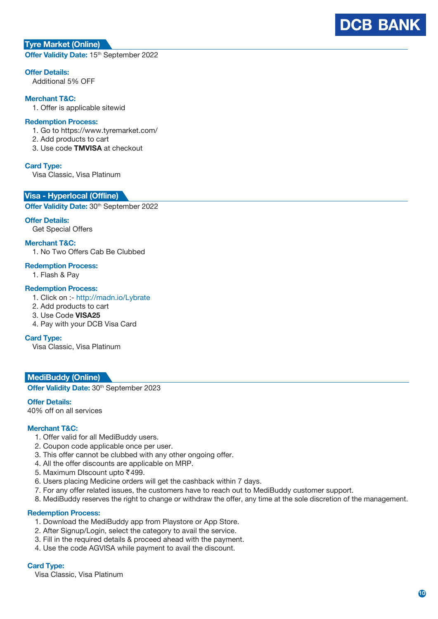# **Tyre Market (Online)**

**Offer Validity Date: 15th September 2022** 

## **Offer Details:**

Additional 5% OFF

## **Merchant T&C:**

1. Offer is applicable sitewid

## **Redemption Process:**

1. Go to https://www.tyremarket.com/

- 2. Add products to cart
- 3. Use code **TMVISA** at checkout

#### **Card Type:**

Visa Classic, Visa Platinum

#### **Visa - Hyperlocal (Offline)**

**Offer Validity Date: 30<sup>th</sup> September 2022** 

# **Offer Details:**

Get Special Offers

**Merchant T&C:**

1. No Two Offers Cab Be Clubbed

#### **Redemption Process:**

1. Flash & Pay

## **Redemption Process:**

- 1. Click on :- http://madn.io/Lybrate
- 2. Add products to cart
- 3. Use Code **VISA25**
- 4. Pay with your DCB Visa Card

#### **Card Type:**

Visa Classic, Visa Platinum

#### **MediBuddy (Online)**

**Offer Validity Date: 30th September 2023** 

**Offer Details:**

40% off on all services

## **Merchant T&C:**

- 1. Offer valid for all MediBuddy users.
- 2. Coupon code applicable once per user.
- 3. This offer cannot be clubbed with any other ongoing offer.
- 4. All the offer discounts are applicable on MRP.
- 5. Maximum DIscount upto ₹499.
- 6. Users placing Medicine orders will get the cashback within 7 days.
- 7. For any offer related issues, the customers have to reach out to MediBuddy customer support.
- 8. MediBuddy reserves the right to change or withdraw the offer, any time at the sole discretion of the management.

#### **Redemption Process:**

- 1. Download the MediBuddy app from Playstore or App Store.
- 2. After Signup/Login, select the category to avail the service.
- 3. Fill in the required details & proceed ahead with the payment.
- 4. Use the code AGVISA while payment to avail the discount.

#### **Card Type:**

Visa Classic, Visa Platinum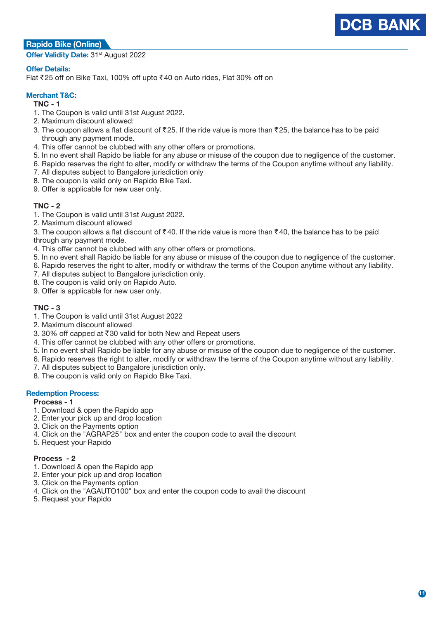# **Rapido Bike (Online)**

**Offer Validity Date:** 31st August 2022

# **Offer Details:**

Flat ₹25 off on Bike Taxi, 100% off upto ₹40 on Auto rides, Flat 30% off on

# **Merchant T&C:**

## **TNC - 1**

- 1. The Coupon is valid until 31st August 2022.
- 2. Maximum discount allowed:
- 3. The coupon allows a flat discount of  $\bar{\tau}$ 25. If the ride value is more than  $\bar{\tau}$ 25, the balance has to be paid through any payment mode.
- 4. This offer cannot be clubbed with any other offers or promotions.
- 5. In no event shall Rapido be liable for any abuse or misuse of the coupon due to negligence of the customer.
- 6. Rapido reserves the right to alter, modify or withdraw the terms of the Coupon anytime without any liability.
- 7. All disputes subject to Bangalore jurisdiction only
- 8. The coupon is valid only on Rapido Bike Taxi.
- 9. Offer is applicable for new user only.

## **TNC - 2**

- 1. The Coupon is valid until 31st August 2022.
- 2. Maximum discount allowed
- 3. The coupon allows a flat discount of  $\bar{\xi}$ 40. If the ride value is more than  $\bar{\xi}$ 40, the balance has to be paid
- through any payment mode.
- 4. This offer cannot be clubbed with any other offers or promotions.
- 5. In no event shall Rapido be liable for any abuse or misuse of the coupon due to negligence of the customer.
- 6. Rapido reserves the right to alter, modify or withdraw the terms of the Coupon anytime without any liability.
- 7. All disputes subject to Bangalore jurisdiction only.
- 8. The coupon is valid only on Rapido Auto.
- 9. Offer is applicable for new user only.

## **TNC - 3**

- 1. The Coupon is valid until 31st August 2022
- 2. Maximum discount allowed
- 3. 30% off capped at  $\overline{\text{30}}$  valid for both New and Repeat users
- 4. This offer cannot be clubbed with any other offers or promotions.
- 5. In no event shall Rapido be liable for any abuse or misuse of the coupon due to negligence of the customer.
- 6. Rapido reserves the right to alter, modify or withdraw the terms of the Coupon anytime without any liability.
- 7. All disputes subject to Bangalore jurisdiction only.
- 8. The coupon is valid only on Rapido Bike Taxi.

## **Redemption Process:**

## **Process - 1**

- 1. Download & open the Rapido app
- 2. Enter your pick up and drop location
- 3. Click on the Payments option
- 4. Click on the "AGRAP25" box and enter the coupon code to avail the discount
- 5. Request your Rapido

## **Process - 2**

- 1. Download & open the Rapido app
- 2. Enter your pick up and drop location
- 3. Click on the Payments option
- 4. Click on the "AGAUTO100" box and enter the coupon code to avail the discount
- 5. Request your Rapido